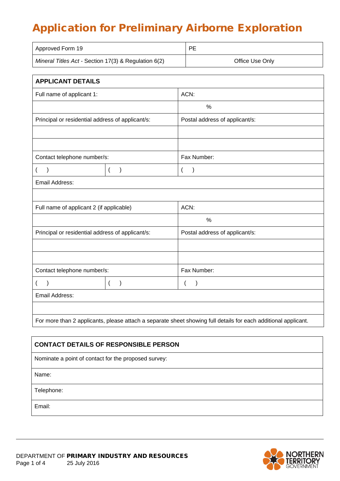# Application for Preliminary Airborne Exploration

| Approved Form 19                                     | <b>PE</b>       |
|------------------------------------------------------|-----------------|
| Mineral Titles Act - Section 17(3) & Regulation 6(2) | Office Use Only |

| <b>APPLICANT DETAILS</b>                         |                                    |                                                                                                                |
|--------------------------------------------------|------------------------------------|----------------------------------------------------------------------------------------------------------------|
| Full name of applicant 1:                        |                                    | ACN:                                                                                                           |
|                                                  |                                    | $\%$                                                                                                           |
| Principal or residential address of applicant/s: |                                    | Postal address of applicant/s:                                                                                 |
|                                                  |                                    |                                                                                                                |
|                                                  |                                    |                                                                                                                |
| Contact telephone number/s:                      |                                    | Fax Number:                                                                                                    |
| $\mathcal{E}$<br>$\overline{ }$                  | $\overline{ }$<br>$\mathcal{E}$    | $\overline{(}$<br>$\mathcal{E}$                                                                                |
| Email Address:                                   |                                    |                                                                                                                |
|                                                  |                                    |                                                                                                                |
| Full name of applicant 2 (if applicable)         |                                    | ACN:                                                                                                           |
|                                                  |                                    | $\frac{0}{0}$                                                                                                  |
| Principal or residential address of applicant/s: |                                    | Postal address of applicant/s:                                                                                 |
|                                                  |                                    |                                                                                                                |
|                                                  |                                    |                                                                                                                |
| Contact telephone number/s:                      |                                    | Fax Number:                                                                                                    |
| $\mathcal{E}$<br>$\overline{(}$                  | $\overline{(}$<br>$\left( \right)$ | (<br>$\lambda$                                                                                                 |
| Email Address:                                   |                                    |                                                                                                                |
|                                                  |                                    |                                                                                                                |
|                                                  |                                    | For more than 2 applicants, please attach a separate sheet showing full details for each additional applicant. |

| <b>CONTACT DETAILS OF RESPONSIBLE PERSON</b>         |
|------------------------------------------------------|
| Nominate a point of contact for the proposed survey: |
| Name:                                                |
| Telephone:                                           |
| Email:                                               |

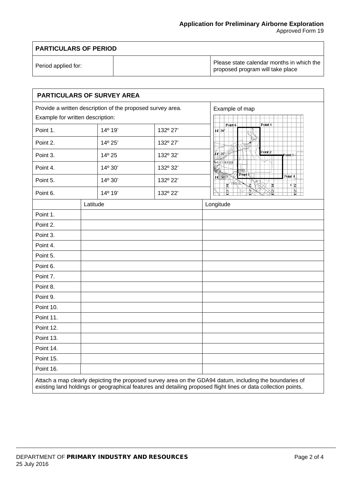Approved Form 19

| <b>PARTICULARS OF PERIOD</b> |  |                                                                               |
|------------------------------|--|-------------------------------------------------------------------------------|
| Period applied for:          |  | Please state calendar months in which the<br>proposed program will take place |

 $\Gamma$ 

| <b>PARTICULARS OF SURVEY AREA</b>                                                                                                                                                                                         |          |                |                                                                                        |  |
|---------------------------------------------------------------------------------------------------------------------------------------------------------------------------------------------------------------------------|----------|----------------|----------------------------------------------------------------------------------------|--|
| Provide a written description of the proposed survey area.                                                                                                                                                                |          | Example of map |                                                                                        |  |
| Example for written description:                                                                                                                                                                                          |          |                |                                                                                        |  |
| Point 1.                                                                                                                                                                                                                  | 14° 19'  | 132º 27'       | Point 1<br>Point 6<br>$14^{\circ}$ 20                                                  |  |
| Point 2.                                                                                                                                                                                                                  | 14° 25'  | 132º 27'       |                                                                                        |  |
| Point 3.                                                                                                                                                                                                                  | 14º 25   | 132° 32'       | Point <sub>2</sub><br>$14^{\circ}$ 25 $/$<br>Point-3-                                  |  |
| Point 4.                                                                                                                                                                                                                  | 14° 30'  | 132° 32'       | KATHERINE<br>餻                                                                         |  |
| Point 5.                                                                                                                                                                                                                  | 14° 30'  | 132° 22'       | $\overline{Point 5}$<br>Point 4<br>$14\frac{3}{2}30$<br><b>BUTINDAL</b><br>ৰ প্ল<br>25 |  |
| Point 6.                                                                                                                                                                                                                  | 14° 19'  | 132° 22'       | $32^{\circ}30$<br>$132^{\circ}$<br>$132^\circ$                                         |  |
|                                                                                                                                                                                                                           | Latitude |                | Longitude                                                                              |  |
| Point 1.                                                                                                                                                                                                                  |          |                |                                                                                        |  |
| Point 2.                                                                                                                                                                                                                  |          |                |                                                                                        |  |
| Point 3.                                                                                                                                                                                                                  |          |                |                                                                                        |  |
| Point 4.                                                                                                                                                                                                                  |          |                |                                                                                        |  |
| Point 5.                                                                                                                                                                                                                  |          |                |                                                                                        |  |
| Point 6.                                                                                                                                                                                                                  |          |                |                                                                                        |  |
| Point 7.                                                                                                                                                                                                                  |          |                |                                                                                        |  |
| Point 8.                                                                                                                                                                                                                  |          |                |                                                                                        |  |
| Point 9.                                                                                                                                                                                                                  |          |                |                                                                                        |  |
| Point 10.                                                                                                                                                                                                                 |          |                |                                                                                        |  |
| Point 11.                                                                                                                                                                                                                 |          |                |                                                                                        |  |
| Point 12.                                                                                                                                                                                                                 |          |                |                                                                                        |  |
| Point 13.                                                                                                                                                                                                                 |          |                |                                                                                        |  |
| Point 14.                                                                                                                                                                                                                 |          |                |                                                                                        |  |
| Point 15.                                                                                                                                                                                                                 |          |                |                                                                                        |  |
| Point 16.                                                                                                                                                                                                                 |          |                |                                                                                        |  |
| Attach a map clearly depicting the proposed survey area on the GDA94 datum, including the boundaries of<br>existing land holdings or geographical features and detailing proposed flight lines or data collection points. |          |                |                                                                                        |  |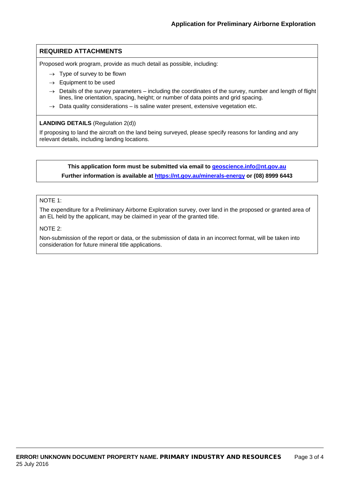## **REQUIRED ATTACHMENTS**

Proposed work program, provide as much detail as possible, including:

- $\rightarrow$  Type of survey to be flown
- $\rightarrow$  Equipment to be used
- $\rightarrow$  Details of the survey parameters including the coordinates of the survey, number and length of flight lines, line orientation, spacing, height; or number of data points and grid spacing.
- $\rightarrow$  Data quality considerations is saline water present, extensive vegetation etc.

#### **LANDING DETAILS** (Regulation 2(d))

If proposing to land the aircraft on the land being surveyed, please specify reasons for landing and any relevant details, including landing locations.

## **This application form must be submitted via email to [geoscience.info@nt.gov.au](mailto:geoscience.info@nt.gov.au) Further information is available at<https://nt.gov.au/minerals-energy> or (08) 8999 6443**

#### NOTE 1:

The expenditure for a Preliminary Airborne Exploration survey, over land in the proposed or granted area of an EL held by the applicant, may be claimed in year of the granted title.

#### NOTE 2:

Non-submission of the report or data, or the submission of data in an incorrect format, will be taken into consideration for future mineral title applications.